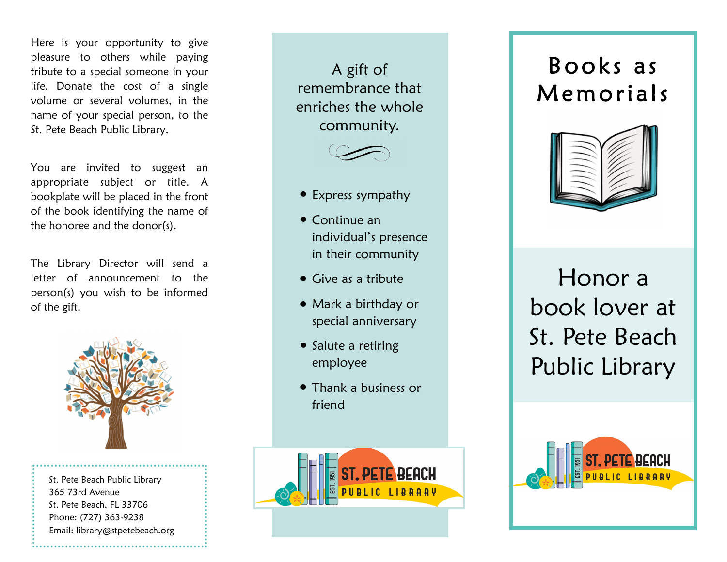Here is your opportunity to give pleasure to others while paying tribute to a special someone in your life. Donate the cost of a single volume or several volumes, in the name of your special person, to the St. Pete Beach Public Library.

You are invited to suggest an appropriate subject or title. A bookplate will be placed in the front of the book identifying the name of the honoree and the donor(s).

The Library Director will send a letter of announcement to the person(s) you wish to be informed of the gift.



St. Pete Beach Public Library 365 73rd Avenue St. Pete Beach, FL 33706 Phone: (727) 363-9238 Email: library@stpetebeach.org

A gift of remembrance that enriches the whole community.



- Express sympathy
- $\bullet$  Continue an  $\bullet$ individual's presence in their community
- $\bullet$  Give as a tribute
- Mark a birthday or special anniversary
- Salute a retiring employee
- Thank a business or friend



## Books as Memorials



Honor a book lover at St. Pete Beach Public Library